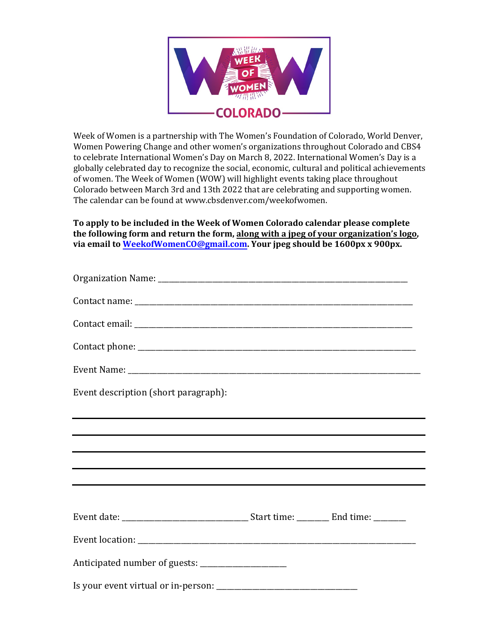

Week of Women is a partnership with The Women's Foundation of Colorado, World Denver, Women Powering Change and other women's organizations throughout Colorado and CBS4 to celebrate International Women's Day on March 8, 2022. International Women's Day is a globally celebrated day to recognize the social, economic, cultural and political achievements of women. The Week of Women (WOW) will highlight events taking place throughout Colorado between March 3rd and 13th 2022 that are celebrating and supporting women. The calendar can be found at www.c[bsdenver.com/weekofwomen.](www.cbsdenver.com/weekofwomen)

**To apply to be included in the Week of Women Colorado calendar please complete the following form and return the form, along with a jpeg of your organization's logo, via email t[o WeekofWomenCO@gmail.com](mailto:WeekofWomenCO@gmail.com). Your jpeg should be 1600px x 900px.**

| Event description (short paragraph):                                              |  |  |
|-----------------------------------------------------------------------------------|--|--|
| ,我们也不能在这里的时候,我们也不能在这里的时候,我们也不能会在这里的时候,我们也不能会在这里的时候,我们也不能会在这里的时候,我们也不能会在这里的时候,我们也不 |  |  |
| ,我们也不会有什么。""我们的人,我们也不会有什么?""我们的人,我们也不会有什么?""我们的人,我们也不会有什么?""我们的人,我们也不会有什么?""我们的人  |  |  |
|                                                                                   |  |  |
|                                                                                   |  |  |
| <u> 1989 - Jan Samuel Barbara, margaret eta biztanleria (h. 1989).</u>            |  |  |
|                                                                                   |  |  |
|                                                                                   |  |  |
|                                                                                   |  |  |
| Anticipated number of guests: ________________________                            |  |  |
| Is your event virtual or in-person:                                               |  |  |